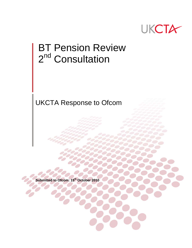

# BT Pension Review 2<sup>nd</sup> Consultation

UKCTA Response to Ofcom

**Submitted to Ofcom: 15th October 2010**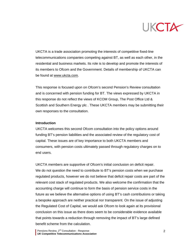

UKCTA is a trade association promoting the interests of competitive fixed-line telecommunications companies competing against BT, as well as each other, in the residential and business markets. Its role is to develop and promote the interests of its members to Ofcom and the Government. Details of membership of UKCTA can be found at [www.ukcta.com](http://www.ukcta.com/).

This response is focused upon on Ofcom's second Pension's Review consultation and is concerned with pension funding for BT. The views expressed by UKCTA in this response do not reflect the views of KCOM Group, The Post Office Ltd & Scottish and Southern Energy plc . These UKCTA members may be submitting their own responses to the consultation.

#### **Introduction**

UKCTA welcomes this second Ofcom consultation into the policy options around funding BT's pension liabilities and the associated review of the regulatory cost of capital. These issues are of key importance to both UKCTA members and consumers, with pension costs ultimately passed through regulatory charges on to end users.

UKCTA members are supportive of Ofcom's initial conclusion on deficit repair. We do not question the need to contribute to BT's pension costs when we purchase regulated products, however we do not believe that deficit repair costs are part of the relevant cost stack of regulated products. We also welcome the confirmation that the accounting charge will continue to form the basis of pension service costs in the future as we believe the alternative options of using BT's cash contributions or taking a bespoke approach are neither practical nor transparent. On the issue of adjusting the Regulated Cost of Capital, we would ask Ofcom to look again at its provisional conclusion on this issue as there does seem to be considerable evidence available that points towards a reduction through removing the impact of BT's large defined benefit scheme from the calculation.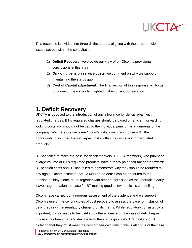

This response is divided into three distinct areas, aligning with the three principle issues set out within the consultation:

- 1) **Deficit Recovery**: we provide our view of on Ofcom's provisional conclusions in this area;
- 2) **On going pension service costs**: we comment on why we support maintaining the status quo;
- 3) **Cost of Capital adjustment**: The final section of this response will focus on some of the issues highlighted in the current consultation.

# **1. Deficit Recovery**

UKCTA is opposed to the introduction of any allowance for deficit repair within regulated charges. BT's regulated charges should be based on efficient forwarding looking costs and should not be tied to the individual pension arrangements of the company. We therefore welcome Ofcom's initial conclusion to deny BT the opportunity to included Deficit Repair costs within the cost stack for regulated products.

BT has failed to make the case for deficit recovery. UKCTA members, who purchase a large volume of BT's regulated products, have already paid their fair share towards BT pension costs and BT has failed to demonstrate why they should be required to pay again. Ofcom estimate that £3.6BN of the deficit can be attributed to the pension holiday alone, taken together with other factors such as the shortfall in early leaver augmentation the case for BT making good its own deficit is compelling.

Ofcom have carried out a rigorous assessment of the evidence and we support Ofcom's use of the six principles of cost recovery to assess the case for inclusion of deficit repair within regulatory charging on its merits. While regulatory consistency is important, it also needs to be justified by the evidence. In the case of deficit repair no case has been made to deviate from the status quo, with BT's past conduct dictating that they must meet the cost of their own deficit, this is also true of the case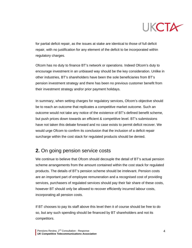

for partial deficit repair, as the issues at stake are identical to those of full deficit repair, with no justification for any element of the deficit to be incorporated within regulatory charges.

Ofcom has no duty to finance BT's network or operations. Indeed Ofcom's duty to encourage investment in an unbiased way should be the key consideration. Unlike in other industries, BT's shareholders have been the sole beneficiaries from BT's pension investment strategy and there has been no previous customer benefit from their investment strategy and/or prior payment holidays.

In summary, when setting charges for regulatory services, Ofcom's objective should be to reach an outcome that replicates a competitive market outcome. Such an outcome would not take any notice of the existence of BT's defined benefit scheme, but push prices down towards an efficient & competitive level. BT's submissions have not taken this debate forward and no case exists to permit deficit recover. We would urge Ofcom to confirm its conclusion that the inclusion of a deficit repair surcharge within the cost stack for regulated products should be denied.

### **2.** On going pension service costs

We continue to believe that Ofcom should decouple the detail of BT's actual pension scheme arrangements from the amount contained within the cost stack for regulated products. The details of BT's pension scheme should be irrelevant. Pension costs are an important part of employee remuneration and a recognised cost of providing services, purchasers of regulated services should pay their fair share of these costs, however BT should only be allowed to recover efficiently incurred labour costs, incorporating all pension costs.

If BT chooses to pay its staff above this level then it of course should be free to do so, but any such spending should be financed by BT shareholders and not its competitors.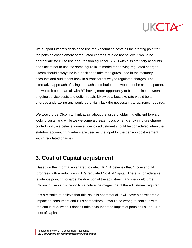

We support Ofcom's decision to use the Accounting costs as the starting point for the pension cost element of regulated charges. We do not believe it would be appropriate for BT to use one Pension figure for IAS19 within its statutory accounts and Ofcom not to use the same figure in its model for deriving regulated charges. Ofcom should always be in a position to take the figures used in the statutory accounts and audit them back in a transparent way to regulated charges. The alternative approach of using the cash contribution rate would not be as transparent, not would it be impartial, with BT having more opportunity to blur the line between ongoing service costs and deficit repair. Likewise a bespoke rate would be an onerous undertaking and would potentially lack the necessary transparency required.

We would urge Ofcom to think again about the issue of obtaining efficient forward looking costs, and while we welcome a greater focus on efficiency in future charge control work, we believe some efficiency adjustment should be considered when the statutory accounting numbers are used as the input for the pension cost element within regulated charges.

# **3. Cost of Capital adjustment**

Based on the information shared to date, UKCTA believes that Ofcom should progress with a reduction in BT's regulated Cost of Capital. There is considerable evidence pointing towards the direction of the adjustment and we would urge Ofcom to use its discretion to calculate the magnitude of the adjustment required.

It is a mistake to believe that this issue is not material. It will have a considerable impact on consumers and BT's competitors. It would be wrong to continue with the status quo, when it doesn't take account of the impact of pension risk on BT's cost of capital.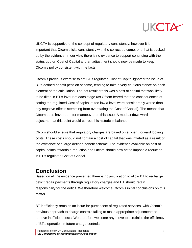

UKCTA is supportive of the concept of regulatory consistency; however it is important that Ofcom sticks consistently with the correct outcome, one that is backed up by the evidence. In our view there is no evidence to support continuing with the status quo on Cost of Capital and an adjustment should now be made to keep Ofcom's policy consistent with the facts.

Ofcom's previous exercise to set BT's regulated Cost of Capital ignored the issue of BT's defined benefit pension scheme, tending to take a very cautious stance on each element of the calculation. The net result of this was a cost of capital that was likely to be tilted in BT's favour at each stage (as Ofcom feared that the consequences of setting the regulated Cost of capital at too low a level were considerably worse than any negative effects stemming from overstating the Cost of Capital). The means that Ofcom does have room for manoeuvre on this issue. A modest downward adjustment at this point would correct this historic imbalance.

Ofcom should ensure that regulatory charges are based on efficient forward looking costs. These costs should not contain a cost of capital that was inflated as a result of the existence of a large defined benefit scheme. The evidence available on cost of capital points towards a reduction and Ofcom should now act to impose a reduction in BT's regulated Cost of Capital.

# **Conclusion**

Based on all the evidence presented there is no justification to allow BT to recharge deficit repair payments through regulatory charges and BT should retain responsibility for the deficit. We therefore welcome Ofcom's initial conclusions on this matter.

BT inefficiency remains an issue for purchasers of regulated services, with Ofcom's previous approach to charge controls failing to make appropriate adjustments to remove inefficient costs. We therefore welcome any move to scrutinise the efficiency of BT's operation in future charge controls.